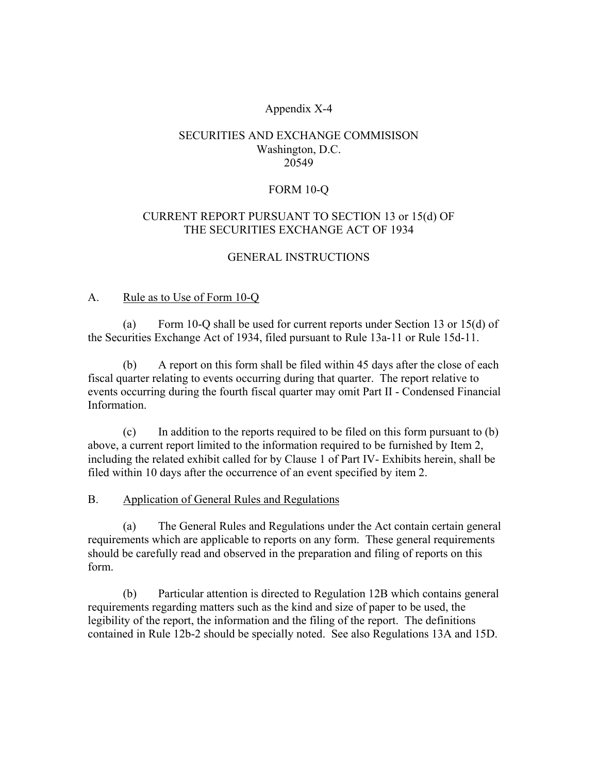## Appendix X-4

### SECURITIES AND EXCHANGE COMMISISON Washington, D.C. 20549

#### FORM 10-Q

## CURRENT REPORT PURSUANT TO SECTION 13 or 15(d) OF THE SECURITIES EXCHANGE ACT OF 1934

#### GENERAL INSTRUCTIONS

#### A. Rule as to Use of Form 10-Q

(a) Form 10-Q shall be used for current reports under Section 13 or 15(d) of the Securities Exchange Act of 1934, filed pursuant to Rule 13a-11 or Rule 15d-11.

(b) A report on this form shall be filed within 45 days after the close of each fiscal quarter relating to events occurring during that quarter. The report relative to events occurring during the fourth fiscal quarter may omit Part II - Condensed Financial Information.

 (c) In addition to the reports required to be filed on this form pursuant to (b) above, a current report limited to the information required to be furnished by Item 2, including the related exhibit called for by Clause 1 of Part IV- Exhibits herein, shall be filed within 10 days after the occurrence of an event specified by item 2.

### B. Application of General Rules and Regulations

(a) The General Rules and Regulations under the Act contain certain general requirements which are applicable to reports on any form. These general requirements should be carefully read and observed in the preparation and filing of reports on this form.

 (b) Particular attention is directed to Regulation 12B which contains general requirements regarding matters such as the kind and size of paper to be used, the legibility of the report, the information and the filing of the report. The definitions contained in Rule 12b-2 should be specially noted. See also Regulations 13A and 15D.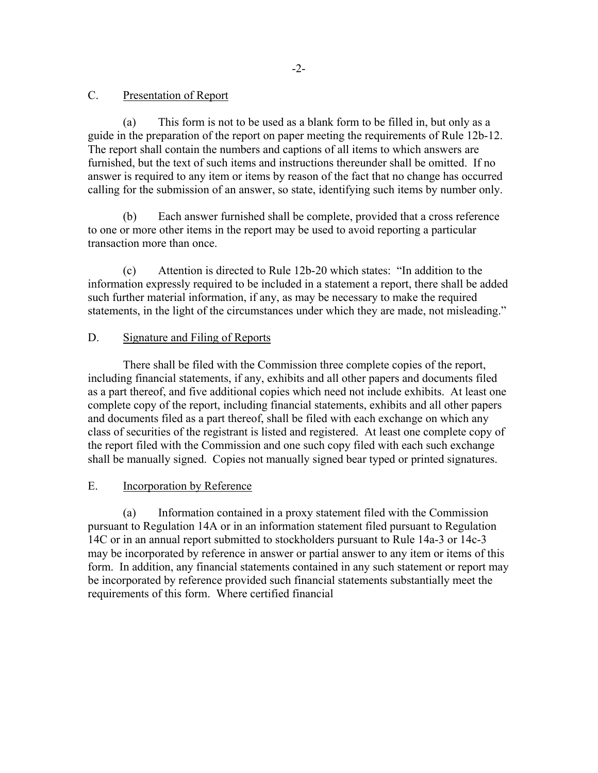### C. Presentation of Report

(a) This form is not to be used as a blank form to be filled in, but only as a guide in the preparation of the report on paper meeting the requirements of Rule 12b-12. The report shall contain the numbers and captions of all items to which answers are furnished, but the text of such items and instructions thereunder shall be omitted. If no answer is required to any item or items by reason of the fact that no change has occurred calling for the submission of an answer, so state, identifying such items by number only.

(b) Each answer furnished shall be complete, provided that a cross reference to one or more other items in the report may be used to avoid reporting a particular transaction more than once.

(c) Attention is directed to Rule 12b-20 which states: "In addition to the information expressly required to be included in a statement a report, there shall be added such further material information, if any, as may be necessary to make the required statements, in the light of the circumstances under which they are made, not misleading."

## D. Signature and Filing of Reports

There shall be filed with the Commission three complete copies of the report, including financial statements, if any, exhibits and all other papers and documents filed as a part thereof, and five additional copies which need not include exhibits. At least one complete copy of the report, including financial statements, exhibits and all other papers and documents filed as a part thereof, shall be filed with each exchange on which any class of securities of the registrant is listed and registered. At least one complete copy of the report filed with the Commission and one such copy filed with each such exchange shall be manually signed. Copies not manually signed bear typed or printed signatures.

### E. Incorporation by Reference

 (a) Information contained in a proxy statement filed with the Commission pursuant to Regulation 14A or in an information statement filed pursuant to Regulation 14C or in an annual report submitted to stockholders pursuant to Rule 14a-3 or 14c-3 may be incorporated by reference in answer or partial answer to any item or items of this form. In addition, any financial statements contained in any such statement or report may be incorporated by reference provided such financial statements substantially meet the requirements of this form. Where certified financial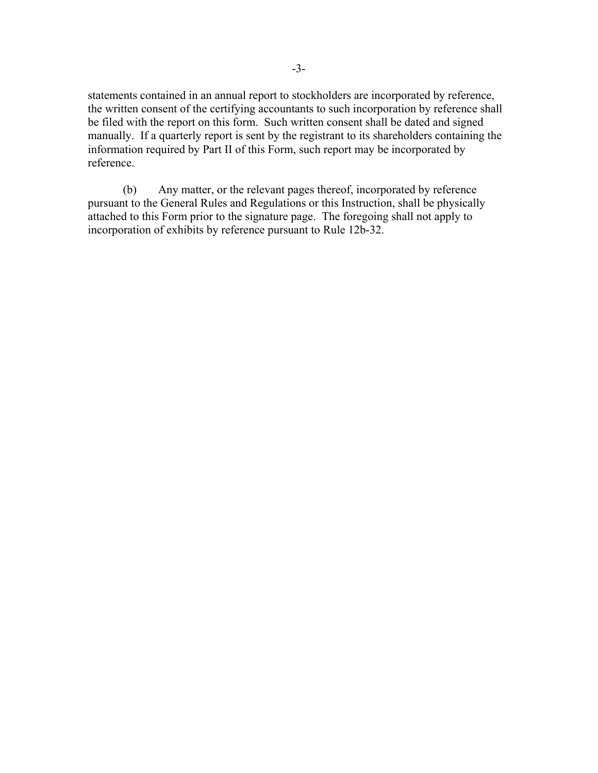statements contained in an annual report to stockholders are incorporated by reference, the written consent of the certifying accountants to such incorporation by reference shall be filed with the report on this form. Such written consent shall be dated and signed manually. If a quarterly report is sent by the registrant to its shareholders containing the information required by Part II of this Form, such report may be incorporated by reference.

 (b) Any matter, or the relevant pages thereof, incorporated by reference pursuant to the General Rules and Regulations or this Instruction, shall be physically attached to this Form prior to the signature page. The foregoing shall not apply to incorporation of exhibits by reference pursuant to Rule 12b-32.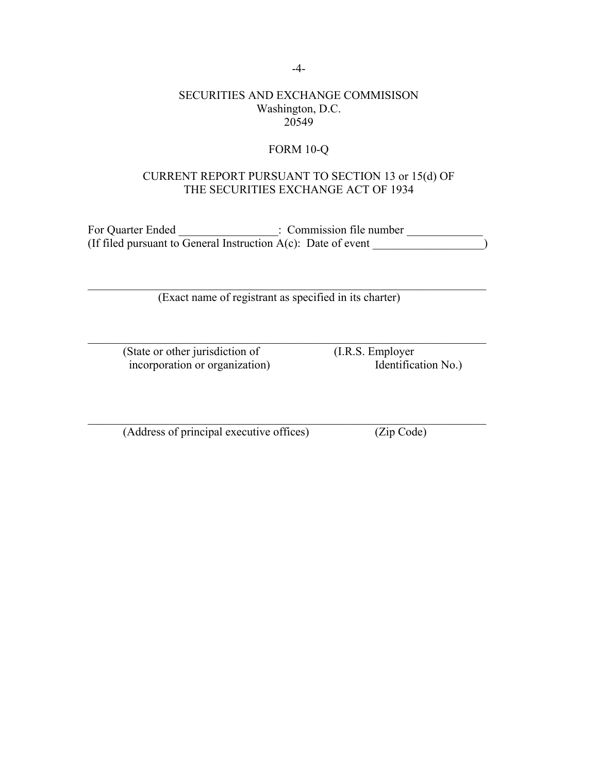-4-

#### SECURITIES AND EXCHANGE COMMISISON Washington, D.C. 20549

## FORM 10-Q

### CURRENT REPORT PURSUANT TO SECTION 13 or 15(d) OF THE SECURITIES EXCHANGE ACT OF 1934

For Quarter Ended \_\_\_\_\_\_\_\_\_\_\_\_\_\_\_: Commission file number \_\_\_\_\_\_\_\_\_\_\_\_\_\_\_\_\_\_\_\_\_\_ (If filed pursuant to General Instruction  $A(c)$ : Date of event  $\qquad \qquad$ 

 $\mathcal{L}_\mathcal{L} = \mathcal{L}_\mathcal{L} = \mathcal{L}_\mathcal{L} = \mathcal{L}_\mathcal{L} = \mathcal{L}_\mathcal{L} = \mathcal{L}_\mathcal{L} = \mathcal{L}_\mathcal{L} = \mathcal{L}_\mathcal{L} = \mathcal{L}_\mathcal{L} = \mathcal{L}_\mathcal{L} = \mathcal{L}_\mathcal{L} = \mathcal{L}_\mathcal{L} = \mathcal{L}_\mathcal{L} = \mathcal{L}_\mathcal{L} = \mathcal{L}_\mathcal{L} = \mathcal{L}_\mathcal{L} = \mathcal{L}_\mathcal{L}$ 

 $\mathcal{L}_\mathcal{L} = \mathcal{L}_\mathcal{L} = \mathcal{L}_\mathcal{L} = \mathcal{L}_\mathcal{L} = \mathcal{L}_\mathcal{L} = \mathcal{L}_\mathcal{L} = \mathcal{L}_\mathcal{L} = \mathcal{L}_\mathcal{L} = \mathcal{L}_\mathcal{L} = \mathcal{L}_\mathcal{L} = \mathcal{L}_\mathcal{L} = \mathcal{L}_\mathcal{L} = \mathcal{L}_\mathcal{L} = \mathcal{L}_\mathcal{L} = \mathcal{L}_\mathcal{L} = \mathcal{L}_\mathcal{L} = \mathcal{L}_\mathcal{L}$ 

 $\mathcal{L}_\mathcal{L} = \mathcal{L}_\mathcal{L} = \mathcal{L}_\mathcal{L} = \mathcal{L}_\mathcal{L} = \mathcal{L}_\mathcal{L} = \mathcal{L}_\mathcal{L} = \mathcal{L}_\mathcal{L} = \mathcal{L}_\mathcal{L} = \mathcal{L}_\mathcal{L} = \mathcal{L}_\mathcal{L} = \mathcal{L}_\mathcal{L} = \mathcal{L}_\mathcal{L} = \mathcal{L}_\mathcal{L} = \mathcal{L}_\mathcal{L} = \mathcal{L}_\mathcal{L} = \mathcal{L}_\mathcal{L} = \mathcal{L}_\mathcal{L}$ 

(Exact name of registrant as specified in its charter)

(State or other jurisdiction of (I.R.S. Employer<br>incorporation or organization) (I.R.S. Employer<br>dentification No.) incorporation or organization)

(Address of principal executive offices) (Zip Code)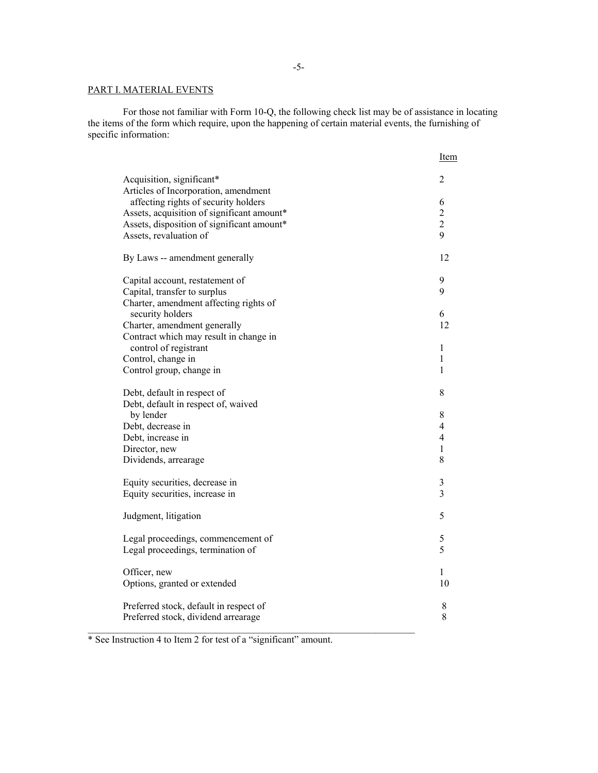#### PART I. MATERIAL EVENTS

 For those not familiar with Form 10-Q, the following check list may be of assistance in locating the items of the form which require, upon the happening of certain material events, the furnishing of specific information:

|                                                  | <b>Item</b>              |
|--------------------------------------------------|--------------------------|
| Acquisition, significant*                        | 2                        |
| Articles of Incorporation, amendment             |                          |
| affecting rights of security holders             | 6                        |
| Assets, acquisition of significant amount*       | $\overline{c}$           |
| Assets, disposition of significant amount*       | $\overline{c}$           |
| Assets, revaluation of                           | 9                        |
| By Laws -- amendment generally                   | 12                       |
| Capital account, restatement of                  | 9                        |
| Capital, transfer to surplus                     | 9                        |
| Charter, amendment affecting rights of           | 6                        |
| security holders<br>Charter, amendment generally | 12                       |
| Contract which may result in change in           |                          |
| control of registrant                            | 1                        |
| Control, change in                               | 1                        |
| Control group, change in                         | 1                        |
|                                                  |                          |
| Debt, default in respect of                      | 8                        |
| Debt, default in respect of, waived<br>by lender | 8                        |
| Debt, decrease in                                | $\overline{\mathcal{A}}$ |
| Debt, increase in                                | $\overline{4}$           |
| Director, new                                    | $\mathbf{1}$             |
| Dividends, arrearage                             | 8                        |
|                                                  |                          |
| Equity securities, decrease in                   | $\mathfrak{Z}$           |
| Equity securities, increase in                   | $\overline{3}$           |
| Judgment, litigation                             | 5                        |
| Legal proceedings, commencement of               | 5                        |
| Legal proceedings, termination of                | 5                        |
| Officer, new                                     | 1                        |
| Options, granted or extended                     | 10                       |
|                                                  |                          |
| Preferred stock, default in respect of           | 8                        |
| Preferred stock, dividend arrearage              | 8                        |

\* See Instruction 4 to Item 2 for test of a "significant" amount.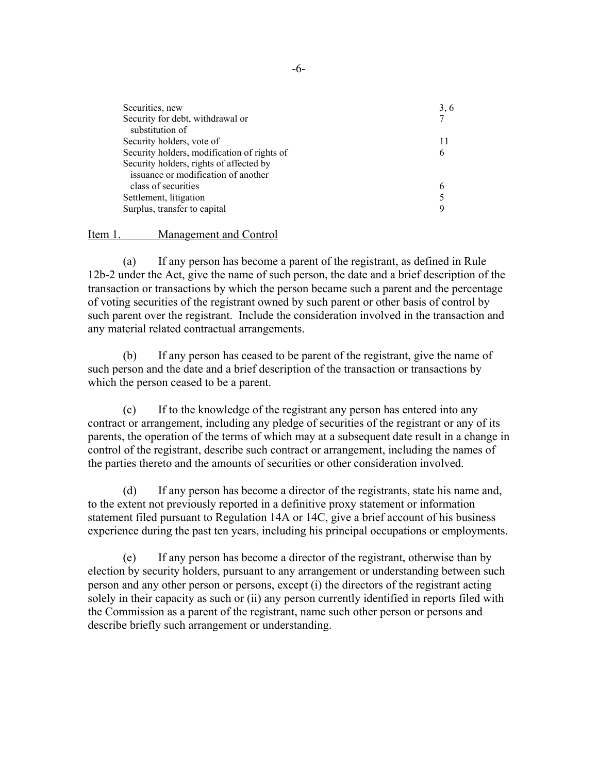| Securities, new                             | 3, 6 |
|---------------------------------------------|------|
| Security for debt, withdrawal or            | 7    |
| substitution of                             |      |
| Security holders, vote of                   | 11   |
| Security holders, modification of rights of | 6    |
| Security holders, rights of affected by     |      |
| issuance or modification of another         |      |
| class of securities                         |      |
| Settlement, litigation                      |      |
| Surplus, transfer to capital                |      |

#### Item 1. Management and Control

 (a) If any person has become a parent of the registrant, as defined in Rule 12b-2 under the Act, give the name of such person, the date and a brief description of the transaction or transactions by which the person became such a parent and the percentage of voting securities of the registrant owned by such parent or other basis of control by such parent over the registrant. Include the consideration involved in the transaction and any material related contractual arrangements.

 (b) If any person has ceased to be parent of the registrant, give the name of such person and the date and a brief description of the transaction or transactions by which the person ceased to be a parent.

 (c) If to the knowledge of the registrant any person has entered into any contract or arrangement, including any pledge of securities of the registrant or any of its parents, the operation of the terms of which may at a subsequent date result in a change in control of the registrant, describe such contract or arrangement, including the names of the parties thereto and the amounts of securities or other consideration involved.

 (d) If any person has become a director of the registrants, state his name and, to the extent not previously reported in a definitive proxy statement or information statement filed pursuant to Regulation 14A or 14C, give a brief account of his business experience during the past ten years, including his principal occupations or employments.

 (e) If any person has become a director of the registrant, otherwise than by election by security holders, pursuant to any arrangement or understanding between such person and any other person or persons, except (i) the directors of the registrant acting solely in their capacity as such or (ii) any person currently identified in reports filed with the Commission as a parent of the registrant, name such other person or persons and describe briefly such arrangement or understanding.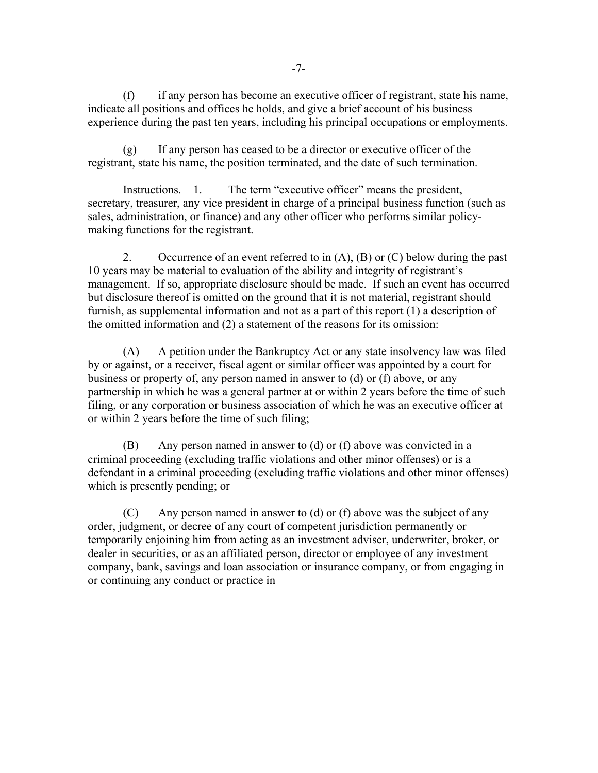(f) if any person has become an executive officer of registrant, state his name, indicate all positions and offices he holds, and give a brief account of his business experience during the past ten years, including his principal occupations or employments.

 (g) If any person has ceased to be a director or executive officer of the registrant, state his name, the position terminated, and the date of such termination.

Instructions. 1. The term "executive officer" means the president, secretary, treasurer, any vice president in charge of a principal business function (such as sales, administration, or finance) and any other officer who performs similar policymaking functions for the registrant.

2. Occurrence of an event referred to in  $(A)$ ,  $(B)$  or  $(C)$  below during the past 10 years may be material to evaluation of the ability and integrity of registrant's management. If so, appropriate disclosure should be made. If such an event has occurred but disclosure thereof is omitted on the ground that it is not material, registrant should furnish, as supplemental information and not as a part of this report (1) a description of the omitted information and (2) a statement of the reasons for its omission:

 (A) A petition under the Bankruptcy Act or any state insolvency law was filed by or against, or a receiver, fiscal agent or similar officer was appointed by a court for business or property of, any person named in answer to (d) or (f) above, or any partnership in which he was a general partner at or within 2 years before the time of such filing, or any corporation or business association of which he was an executive officer at or within 2 years before the time of such filing;

 (B) Any person named in answer to (d) or (f) above was convicted in a criminal proceeding (excluding traffic violations and other minor offenses) or is a defendant in a criminal proceeding (excluding traffic violations and other minor offenses) which is presently pending; or

 (C) Any person named in answer to (d) or (f) above was the subject of any order, judgment, or decree of any court of competent jurisdiction permanently or temporarily enjoining him from acting as an investment adviser, underwriter, broker, or dealer in securities, or as an affiliated person, director or employee of any investment company, bank, savings and loan association or insurance company, or from engaging in or continuing any conduct or practice in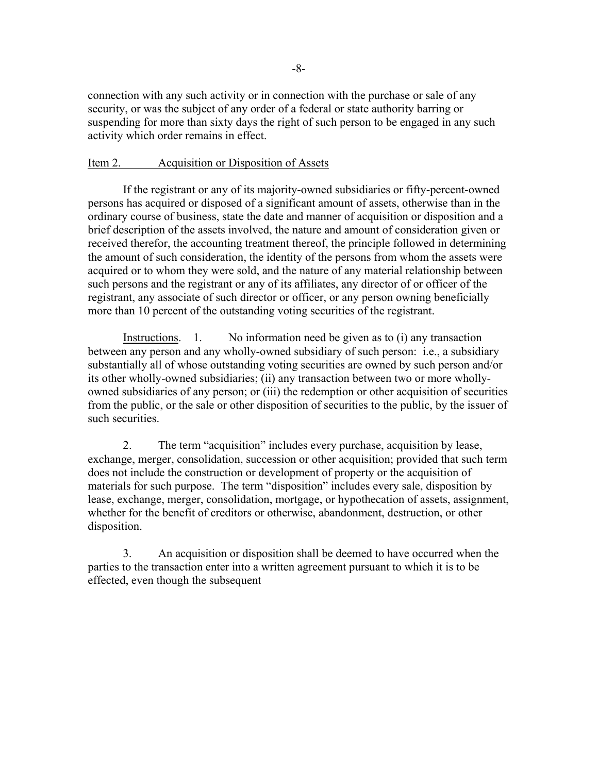connection with any such activity or in connection with the purchase or sale of any security, or was the subject of any order of a federal or state authority barring or suspending for more than sixty days the right of such person to be engaged in any such activity which order remains in effect.

#### Item 2. Acquisition or Disposition of Assets

 If the registrant or any of its majority-owned subsidiaries or fifty-percent-owned persons has acquired or disposed of a significant amount of assets, otherwise than in the ordinary course of business, state the date and manner of acquisition or disposition and a brief description of the assets involved, the nature and amount of consideration given or received therefor, the accounting treatment thereof, the principle followed in determining the amount of such consideration, the identity of the persons from whom the assets were acquired or to whom they were sold, and the nature of any material relationship between such persons and the registrant or any of its affiliates, any director of or officer of the registrant, any associate of such director or officer, or any person owning beneficially more than 10 percent of the outstanding voting securities of the registrant.

Instructions. 1. No information need be given as to (i) any transaction between any person and any wholly-owned subsidiary of such person: i.e., a subsidiary substantially all of whose outstanding voting securities are owned by such person and/or its other wholly-owned subsidiaries; (ii) any transaction between two or more whollyowned subsidiaries of any person; or (iii) the redemption or other acquisition of securities from the public, or the sale or other disposition of securities to the public, by the issuer of such securities.

2. The term "acquisition" includes every purchase, acquisition by lease, exchange, merger, consolidation, succession or other acquisition; provided that such term does not include the construction or development of property or the acquisition of materials for such purpose. The term "disposition" includes every sale, disposition by lease, exchange, merger, consolidation, mortgage, or hypothecation of assets, assignment, whether for the benefit of creditors or otherwise, abandonment, destruction, or other disposition.

 3. An acquisition or disposition shall be deemed to have occurred when the parties to the transaction enter into a written agreement pursuant to which it is to be effected, even though the subsequent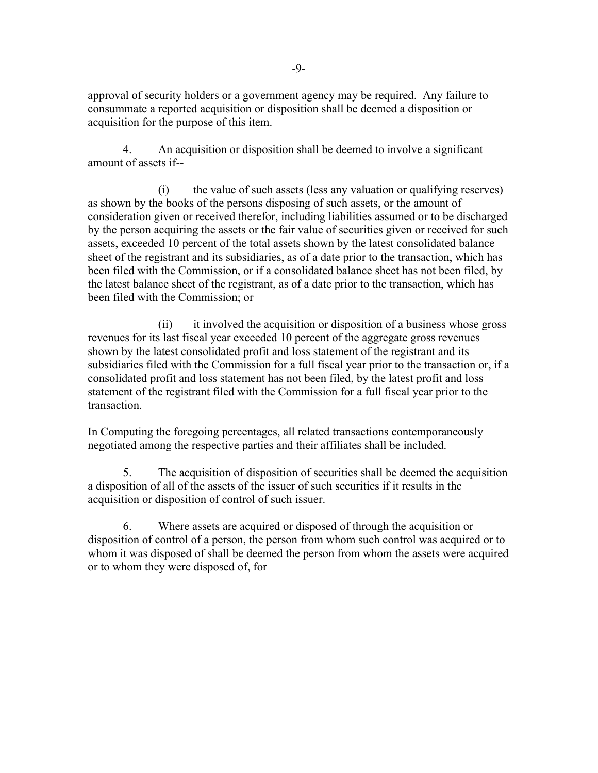approval of security holders or a government agency may be required. Any failure to consummate a reported acquisition or disposition shall be deemed a disposition or acquisition for the purpose of this item.

 4. An acquisition or disposition shall be deemed to involve a significant amount of assets if--

 (i) the value of such assets (less any valuation or qualifying reserves) as shown by the books of the persons disposing of such assets, or the amount of consideration given or received therefor, including liabilities assumed or to be discharged by the person acquiring the assets or the fair value of securities given or received for such assets, exceeded 10 percent of the total assets shown by the latest consolidated balance sheet of the registrant and its subsidiaries, as of a date prior to the transaction, which has been filed with the Commission, or if a consolidated balance sheet has not been filed, by the latest balance sheet of the registrant, as of a date prior to the transaction, which has been filed with the Commission; or

 (ii) it involved the acquisition or disposition of a business whose gross revenues for its last fiscal year exceeded 10 percent of the aggregate gross revenues shown by the latest consolidated profit and loss statement of the registrant and its subsidiaries filed with the Commission for a full fiscal year prior to the transaction or, if a consolidated profit and loss statement has not been filed, by the latest profit and loss statement of the registrant filed with the Commission for a full fiscal year prior to the transaction.

In Computing the foregoing percentages, all related transactions contemporaneously negotiated among the respective parties and their affiliates shall be included.

 5. The acquisition of disposition of securities shall be deemed the acquisition a disposition of all of the assets of the issuer of such securities if it results in the acquisition or disposition of control of such issuer.

 6. Where assets are acquired or disposed of through the acquisition or disposition of control of a person, the person from whom such control was acquired or to whom it was disposed of shall be deemed the person from whom the assets were acquired or to whom they were disposed of, for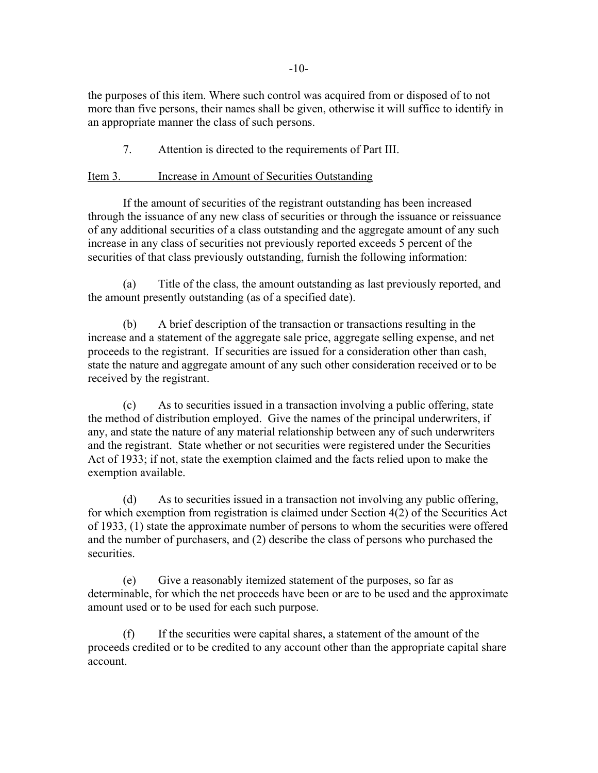the purposes of this item. Where such control was acquired from or disposed of to not more than five persons, their names shall be given, otherwise it will suffice to identify in an appropriate manner the class of such persons.

7. Attention is directed to the requirements of Part III.

# Item 3. Increase in Amount of Securities Outstanding

 If the amount of securities of the registrant outstanding has been increased through the issuance of any new class of securities or through the issuance or reissuance of any additional securities of a class outstanding and the aggregate amount of any such increase in any class of securities not previously reported exceeds 5 percent of the securities of that class previously outstanding, furnish the following information:

(a) Title of the class, the amount outstanding as last previously reported, and the amount presently outstanding (as of a specified date).

 (b) A brief description of the transaction or transactions resulting in the increase and a statement of the aggregate sale price, aggregate selling expense, and net proceeds to the registrant. If securities are issued for a consideration other than cash, state the nature and aggregate amount of any such other consideration received or to be received by the registrant.

 (c) As to securities issued in a transaction involving a public offering, state the method of distribution employed. Give the names of the principal underwriters, if any, and state the nature of any material relationship between any of such underwriters and the registrant. State whether or not securities were registered under the Securities Act of 1933; if not, state the exemption claimed and the facts relied upon to make the exemption available.

 (d) As to securities issued in a transaction not involving any public offering, for which exemption from registration is claimed under Section 4(2) of the Securities Act of 1933, (1) state the approximate number of persons to whom the securities were offered and the number of purchasers, and (2) describe the class of persons who purchased the securities.

(e) Give a reasonably itemized statement of the purposes, so far as determinable, for which the net proceeds have been or are to be used and the approximate amount used or to be used for each such purpose.

 (f) If the securities were capital shares, a statement of the amount of the proceeds credited or to be credited to any account other than the appropriate capital share account.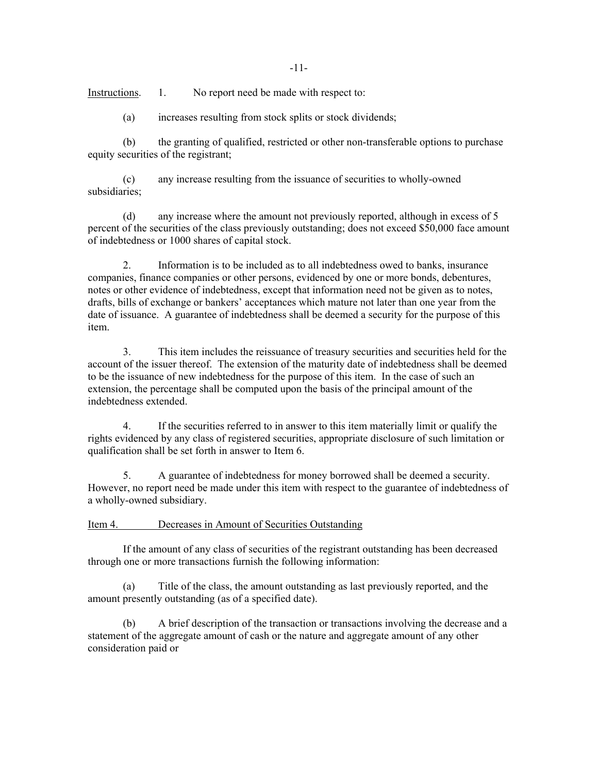Instructions. 1. No report need be made with respect to:

(a) increases resulting from stock splits or stock dividends;

 (b) the granting of qualified, restricted or other non-transferable options to purchase equity securities of the registrant;

 (c) any increase resulting from the issuance of securities to wholly-owned subsidiaries;

 (d) any increase where the amount not previously reported, although in excess of 5 percent of the securities of the class previously outstanding; does not exceed \$50,000 face amount of indebtedness or 1000 shares of capital stock.

 2. Information is to be included as to all indebtedness owed to banks, insurance companies, finance companies or other persons, evidenced by one or more bonds, debentures, notes or other evidence of indebtedness, except that information need not be given as to notes, drafts, bills of exchange or bankers' acceptances which mature not later than one year from the date of issuance. A guarantee of indebtedness shall be deemed a security for the purpose of this item.

 3. This item includes the reissuance of treasury securities and securities held for the account of the issuer thereof. The extension of the maturity date of indebtedness shall be deemed to be the issuance of new indebtedness for the purpose of this item. In the case of such an extension, the percentage shall be computed upon the basis of the principal amount of the indebtedness extended.

 4. If the securities referred to in answer to this item materially limit or qualify the rights evidenced by any class of registered securities, appropriate disclosure of such limitation or qualification shall be set forth in answer to Item 6.

 5. A guarantee of indebtedness for money borrowed shall be deemed a security. However, no report need be made under this item with respect to the guarantee of indebtedness of a wholly-owned subsidiary.

Item 4. Decreases in Amount of Securities Outstanding

 If the amount of any class of securities of the registrant outstanding has been decreased through one or more transactions furnish the following information:

 (a) Title of the class, the amount outstanding as last previously reported, and the amount presently outstanding (as of a specified date).

 (b) A brief description of the transaction or transactions involving the decrease and a statement of the aggregate amount of cash or the nature and aggregate amount of any other consideration paid or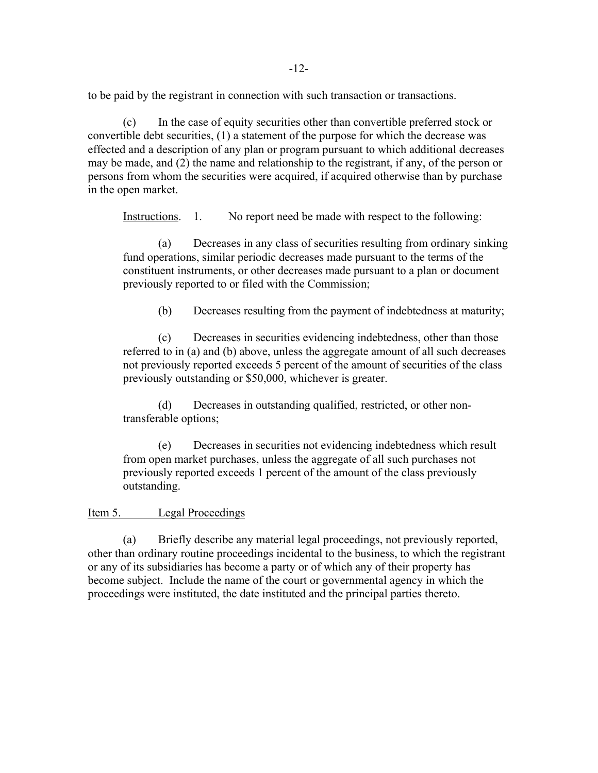to be paid by the registrant in connection with such transaction or transactions.

 (c) In the case of equity securities other than convertible preferred stock or convertible debt securities, (1) a statement of the purpose for which the decrease was effected and a description of any plan or program pursuant to which additional decreases may be made, and (2) the name and relationship to the registrant, if any, of the person or persons from whom the securities were acquired, if acquired otherwise than by purchase in the open market.

Instructions. 1. No report need be made with respect to the following:

(a) Decreases in any class of securities resulting from ordinary sinking fund operations, similar periodic decreases made pursuant to the terms of the constituent instruments, or other decreases made pursuant to a plan or document previously reported to or filed with the Commission;

(b) Decreases resulting from the payment of indebtedness at maturity;

(c) Decreases in securities evidencing indebtedness, other than those referred to in (a) and (b) above, unless the aggregate amount of all such decreases not previously reported exceeds 5 percent of the amount of securities of the class previously outstanding or \$50,000, whichever is greater.

(d) Decreases in outstanding qualified, restricted, or other nontransferable options;

(e) Decreases in securities not evidencing indebtedness which result from open market purchases, unless the aggregate of all such purchases not previously reported exceeds 1 percent of the amount of the class previously outstanding.

#### Item 5. Legal Proceedings

 (a) Briefly describe any material legal proceedings, not previously reported, other than ordinary routine proceedings incidental to the business, to which the registrant or any of its subsidiaries has become a party or of which any of their property has become subject. Include the name of the court or governmental agency in which the proceedings were instituted, the date instituted and the principal parties thereto.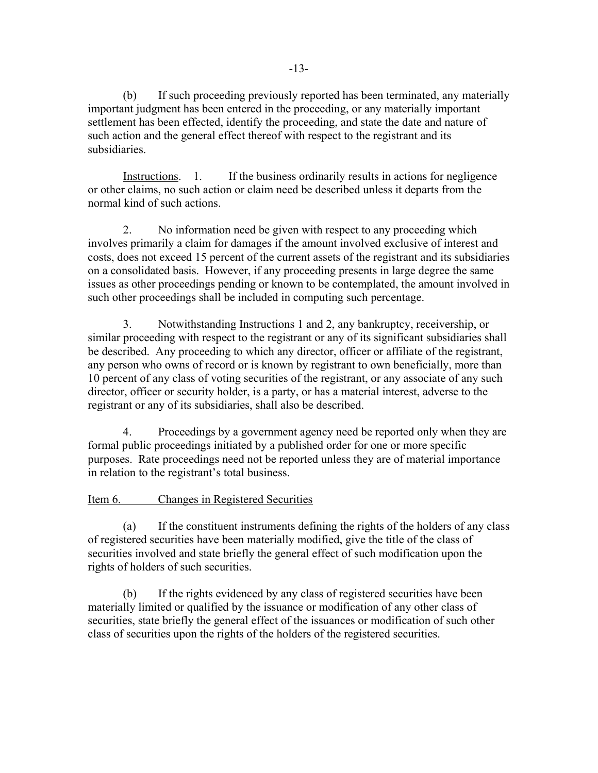(b) If such proceeding previously reported has been terminated, any materially important judgment has been entered in the proceeding, or any materially important settlement has been effected, identify the proceeding, and state the date and nature of such action and the general effect thereof with respect to the registrant and its subsidiaries.

Instructions. 1. If the business ordinarily results in actions for negligence or other claims, no such action or claim need be described unless it departs from the normal kind of such actions.

2. No information need be given with respect to any proceeding which involves primarily a claim for damages if the amount involved exclusive of interest and costs, does not exceed 15 percent of the current assets of the registrant and its subsidiaries on a consolidated basis. However, if any proceeding presents in large degree the same issues as other proceedings pending or known to be contemplated, the amount involved in such other proceedings shall be included in computing such percentage.

 3. Notwithstanding Instructions 1 and 2, any bankruptcy, receivership, or similar proceeding with respect to the registrant or any of its significant subsidiaries shall be described. Any proceeding to which any director, officer or affiliate of the registrant, any person who owns of record or is known by registrant to own beneficially, more than 10 percent of any class of voting securities of the registrant, or any associate of any such director, officer or security holder, is a party, or has a material interest, adverse to the registrant or any of its subsidiaries, shall also be described.

 4. Proceedings by a government agency need be reported only when they are formal public proceedings initiated by a published order for one or more specific purposes. Rate proceedings need not be reported unless they are of material importance in relation to the registrant's total business.

## Item 6. Changes in Registered Securities

 (a) If the constituent instruments defining the rights of the holders of any class of registered securities have been materially modified, give the title of the class of securities involved and state briefly the general effect of such modification upon the rights of holders of such securities.

(b) If the rights evidenced by any class of registered securities have been materially limited or qualified by the issuance or modification of any other class of securities, state briefly the general effect of the issuances or modification of such other class of securities upon the rights of the holders of the registered securities.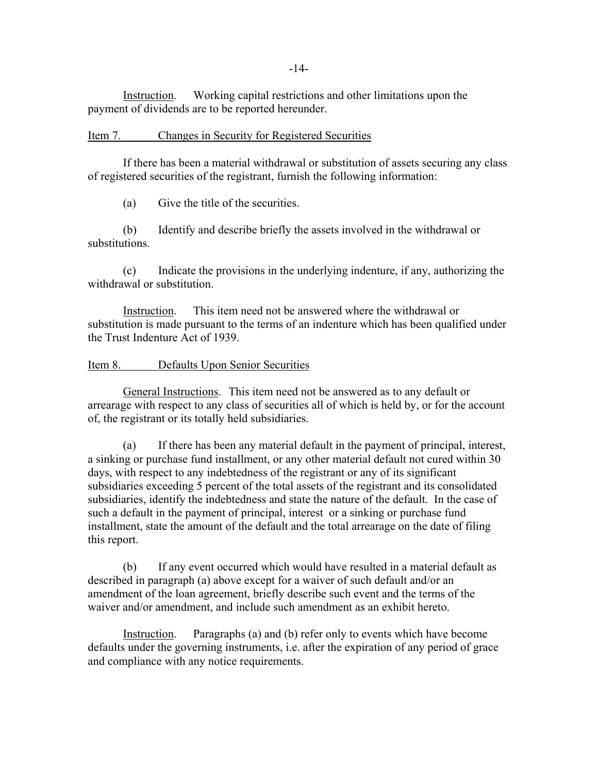-14-

Instruction. Working capital restrictions and other limitations upon the payment of dividends are to be reported hereunder.

#### Item 7. Changes in Security for Registered Securities

If there has been a material withdrawal or substitution of assets securing any class of registered securities of the registrant, furnish the following information:

(a) Give the title of the securities.

 (b) Identify and describe briefly the assets involved in the withdrawal or substitutions.

(c) Indicate the provisions in the underlying indenture, if any, authorizing the withdrawal or substitution.

Instruction. This item need not be answered where the withdrawal or substitution is made pursuant to the terms of an indenture which has been qualified under the Trust Indenture Act of 1939.

#### Item 8. Defaults Upon Senior Securities

General Instructions. This item need not be answered as to any default or arrearage with respect to any class of securities all of which is held by, or for the account of, the registrant or its totally held subsidiaries.

(a) If there has been any material default in the payment of principal, interest, a sinking or purchase fund installment, or any other material default not cured within 30 days, with respect to any indebtedness of the registrant or any of its significant subsidiaries exceeding 5 percent of the total assets of the registrant and its consolidated subsidiaries, identify the indebtedness and state the nature of the default. In the case of such a default in the payment of principal, interest or a sinking or purchase fund installment, state the amount of the default and the total arrearage on the date of filing this report.

(b) If any event occurred which would have resulted in a material default as described in paragraph (a) above except for a waiver of such default and/or an amendment of the loan agreement, briefly describe such event and the terms of the waiver and/or amendment, and include such amendment as an exhibit hereto.

Instruction. Paragraphs (a) and (b) refer only to events which have become defaults under the governing instruments, i.e. after the expiration of any period of grace and compliance with any notice requirements.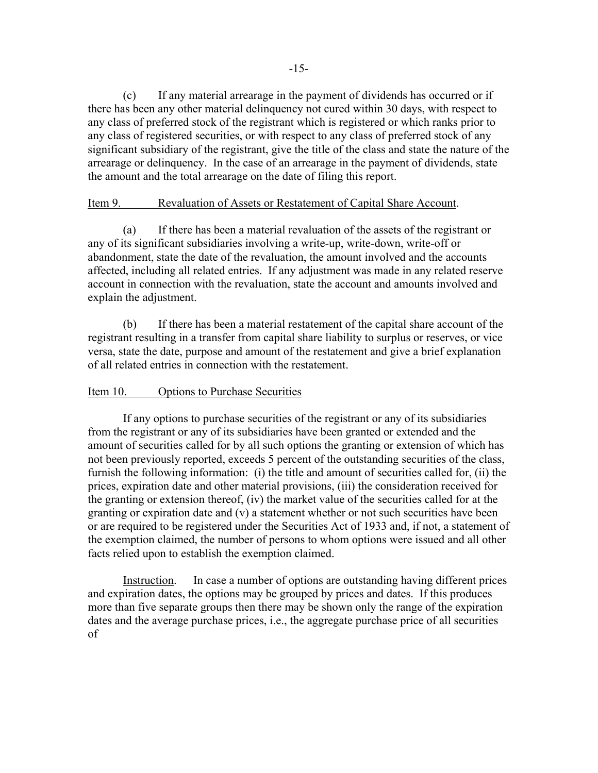(c) If any material arrearage in the payment of dividends has occurred or if there has been any other material delinquency not cured within 30 days, with respect to any class of preferred stock of the registrant which is registered or which ranks prior to any class of registered securities, or with respect to any class of preferred stock of any significant subsidiary of the registrant, give the title of the class and state the nature of the arrearage or delinquency. In the case of an arrearage in the payment of dividends, state the amount and the total arrearage on the date of filing this report.

### Item 9. Revaluation of Assets or Restatement of Capital Share Account.

(a) If there has been a material revaluation of the assets of the registrant or any of its significant subsidiaries involving a write-up, write-down, write-off or abandonment, state the date of the revaluation, the amount involved and the accounts affected, including all related entries. If any adjustment was made in any related reserve account in connection with the revaluation, state the account and amounts involved and explain the adjustment.

(b) If there has been a material restatement of the capital share account of the registrant resulting in a transfer from capital share liability to surplus or reserves, or vice versa, state the date, purpose and amount of the restatement and give a brief explanation of all related entries in connection with the restatement.

#### Item 10. Options to Purchase Securities

If any options to purchase securities of the registrant or any of its subsidiaries from the registrant or any of its subsidiaries have been granted or extended and the amount of securities called for by all such options the granting or extension of which has not been previously reported, exceeds 5 percent of the outstanding securities of the class, furnish the following information: (i) the title and amount of securities called for, (ii) the prices, expiration date and other material provisions, (iii) the consideration received for the granting or extension thereof, (iv) the market value of the securities called for at the granting or expiration date and (v) a statement whether or not such securities have been or are required to be registered under the Securities Act of 1933 and, if not, a statement of the exemption claimed, the number of persons to whom options were issued and all other facts relied upon to establish the exemption claimed.

Instruction. In case a number of options are outstanding having different prices and expiration dates, the options may be grouped by prices and dates. If this produces more than five separate groups then there may be shown only the range of the expiration dates and the average purchase prices, i.e., the aggregate purchase price of all securities of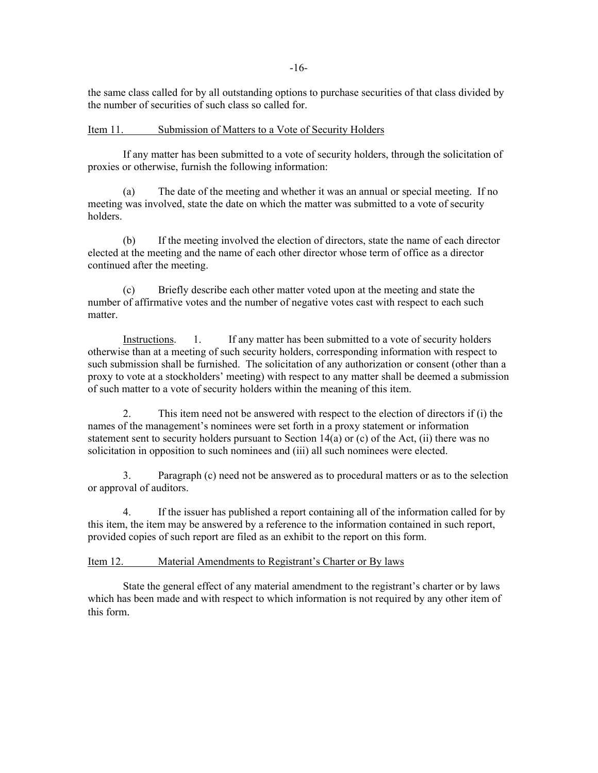-16-

the same class called for by all outstanding options to purchase securities of that class divided by the number of securities of such class so called for.

Item 11. Submission of Matters to a Vote of Security Holders

 If any matter has been submitted to a vote of security holders, through the solicitation of proxies or otherwise, furnish the following information:

 (a) The date of the meeting and whether it was an annual or special meeting. If no meeting was involved, state the date on which the matter was submitted to a vote of security holders.

 (b) If the meeting involved the election of directors, state the name of each director elected at the meeting and the name of each other director whose term of office as a director continued after the meeting.

 (c) Briefly describe each other matter voted upon at the meeting and state the number of affirmative votes and the number of negative votes cast with respect to each such matter.

Instructions. 1. If any matter has been submitted to a vote of security holders otherwise than at a meeting of such security holders, corresponding information with respect to such submission shall be furnished. The solicitation of any authorization or consent (other than a proxy to vote at a stockholders' meeting) with respect to any matter shall be deemed a submission of such matter to a vote of security holders within the meaning of this item.

 2. This item need not be answered with respect to the election of directors if (i) the names of the management's nominees were set forth in a proxy statement or information statement sent to security holders pursuant to Section 14(a) or (c) of the Act, (ii) there was no solicitation in opposition to such nominees and (iii) all such nominees were elected.

 3. Paragraph (c) need not be answered as to procedural matters or as to the selection or approval of auditors.

 4. If the issuer has published a report containing all of the information called for by this item, the item may be answered by a reference to the information contained in such report, provided copies of such report are filed as an exhibit to the report on this form.

Item 12. Material Amendments to Registrant's Charter or By laws

 State the general effect of any material amendment to the registrant's charter or by laws which has been made and with respect to which information is not required by any other item of this form.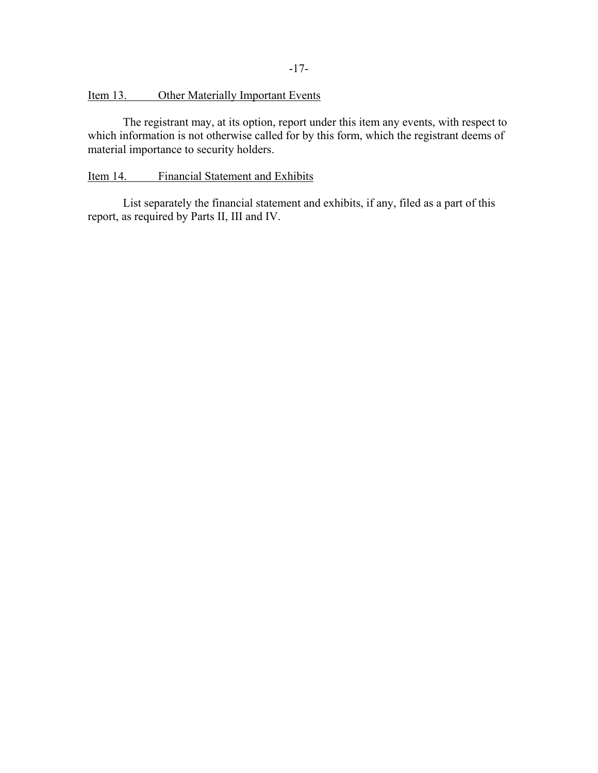## Item 13. Other Materially Important Events

 The registrant may, at its option, report under this item any events, with respect to which information is not otherwise called for by this form, which the registrant deems of material importance to security holders.

#### Item 14. Financial Statement and Exhibits

 List separately the financial statement and exhibits, if any, filed as a part of this report, as required by Parts II, III and IV.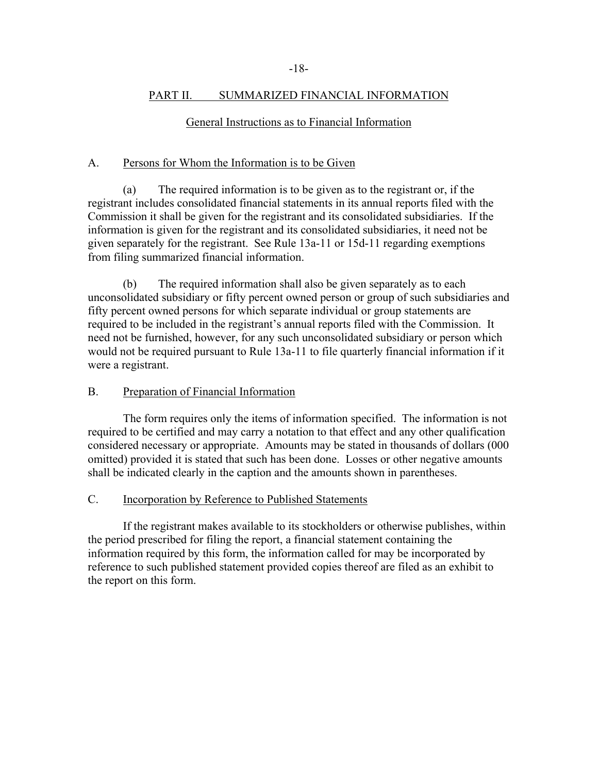### PART II. SUMMARIZED FINANCIAL INFORMATION

## General Instructions as to Financial Information

## A. Persons for Whom the Information is to be Given

 (a) The required information is to be given as to the registrant or, if the registrant includes consolidated financial statements in its annual reports filed with the Commission it shall be given for the registrant and its consolidated subsidiaries. If the information is given for the registrant and its consolidated subsidiaries, it need not be given separately for the registrant. See Rule 13a-11 or 15d-11 regarding exemptions from filing summarized financial information.

(b) The required information shall also be given separately as to each unconsolidated subsidiary or fifty percent owned person or group of such subsidiaries and fifty percent owned persons for which separate individual or group statements are required to be included in the registrant's annual reports filed with the Commission. It need not be furnished, however, for any such unconsolidated subsidiary or person which would not be required pursuant to Rule 13a-11 to file quarterly financial information if it were a registrant.

## B. Preparation of Financial Information

 The form requires only the items of information specified. The information is not required to be certified and may carry a notation to that effect and any other qualification considered necessary or appropriate. Amounts may be stated in thousands of dollars (000 omitted) provided it is stated that such has been done. Losses or other negative amounts shall be indicated clearly in the caption and the amounts shown in parentheses.

### C. Incorporation by Reference to Published Statements

If the registrant makes available to its stockholders or otherwise publishes, within the period prescribed for filing the report, a financial statement containing the information required by this form, the information called for may be incorporated by reference to such published statement provided copies thereof are filed as an exhibit to the report on this form.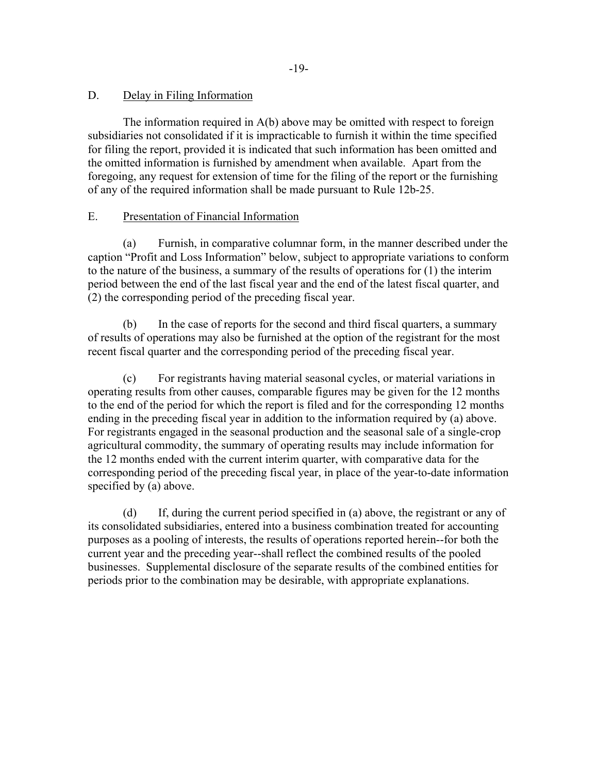## D. Delay in Filing Information

 The information required in A(b) above may be omitted with respect to foreign subsidiaries not consolidated if it is impracticable to furnish it within the time specified for filing the report, provided it is indicated that such information has been omitted and the omitted information is furnished by amendment when available. Apart from the foregoing, any request for extension of time for the filing of the report or the furnishing of any of the required information shall be made pursuant to Rule 12b-25.

## E. Presentation of Financial Information

(a) Furnish, in comparative columnar form, in the manner described under the caption "Profit and Loss Information" below, subject to appropriate variations to conform to the nature of the business, a summary of the results of operations for (1) the interim period between the end of the last fiscal year and the end of the latest fiscal quarter, and (2) the corresponding period of the preceding fiscal year.

(b) In the case of reports for the second and third fiscal quarters, a summary of results of operations may also be furnished at the option of the registrant for the most recent fiscal quarter and the corresponding period of the preceding fiscal year.

(c) For registrants having material seasonal cycles, or material variations in operating results from other causes, comparable figures may be given for the 12 months to the end of the period for which the report is filed and for the corresponding 12 months ending in the preceding fiscal year in addition to the information required by (a) above. For registrants engaged in the seasonal production and the seasonal sale of a single-crop agricultural commodity, the summary of operating results may include information for the 12 months ended with the current interim quarter, with comparative data for the corresponding period of the preceding fiscal year, in place of the year-to-date information specified by (a) above.

 (d) If, during the current period specified in (a) above, the registrant or any of its consolidated subsidiaries, entered into a business combination treated for accounting purposes as a pooling of interests, the results of operations reported herein--for both the current year and the preceding year--shall reflect the combined results of the pooled businesses. Supplemental disclosure of the separate results of the combined entities for periods prior to the combination may be desirable, with appropriate explanations.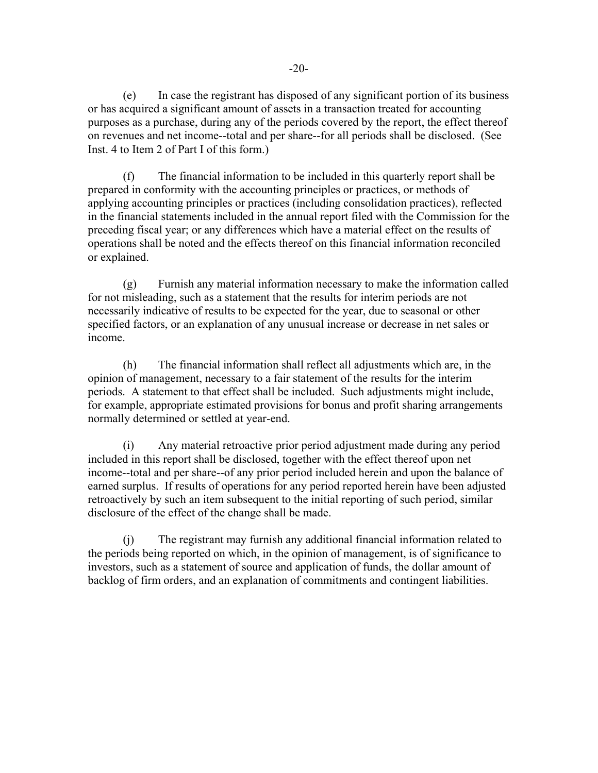(e) In case the registrant has disposed of any significant portion of its business or has acquired a significant amount of assets in a transaction treated for accounting purposes as a purchase, during any of the periods covered by the report, the effect thereof on revenues and net income--total and per share--for all periods shall be disclosed. (See Inst. 4 to Item 2 of Part I of this form.)

(f) The financial information to be included in this quarterly report shall be prepared in conformity with the accounting principles or practices, or methods of applying accounting principles or practices (including consolidation practices), reflected in the financial statements included in the annual report filed with the Commission for the preceding fiscal year; or any differences which have a material effect on the results of operations shall be noted and the effects thereof on this financial information reconciled or explained.

(g) Furnish any material information necessary to make the information called for not misleading, such as a statement that the results for interim periods are not necessarily indicative of results to be expected for the year, due to seasonal or other specified factors, or an explanation of any unusual increase or decrease in net sales or income.

(h) The financial information shall reflect all adjustments which are, in the opinion of management, necessary to a fair statement of the results for the interim periods. A statement to that effect shall be included. Such adjustments might include, for example, appropriate estimated provisions for bonus and profit sharing arrangements normally determined or settled at year-end.

 (i) Any material retroactive prior period adjustment made during any period included in this report shall be disclosed, together with the effect thereof upon net income--total and per share--of any prior period included herein and upon the balance of earned surplus. If results of operations for any period reported herein have been adjusted retroactively by such an item subsequent to the initial reporting of such period, similar disclosure of the effect of the change shall be made.

 (j) The registrant may furnish any additional financial information related to the periods being reported on which, in the opinion of management, is of significance to investors, such as a statement of source and application of funds, the dollar amount of backlog of firm orders, and an explanation of commitments and contingent liabilities.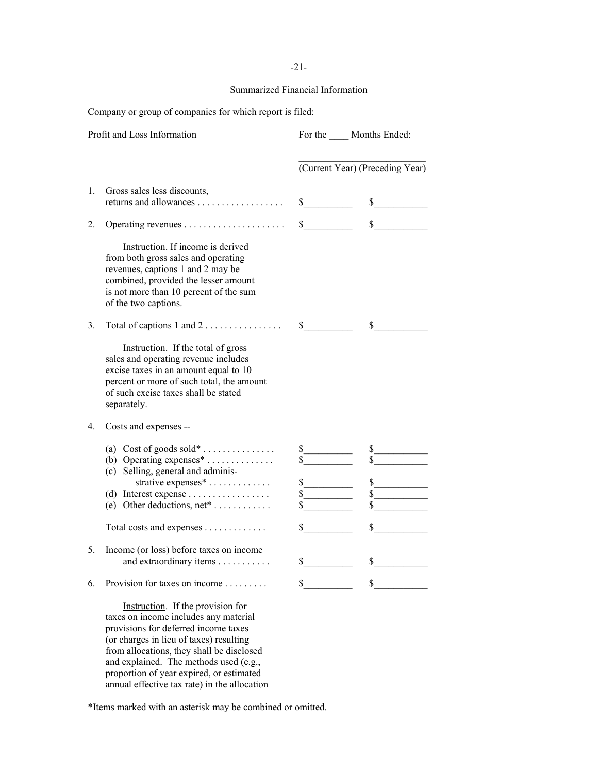#### Summarized Financial Information

Company or group of companies for which report is filed:

|                      | Profit and Loss Information                                                                                                                                                                                             |                                                       | For the Months Ended:                 |
|----------------------|-------------------------------------------------------------------------------------------------------------------------------------------------------------------------------------------------------------------------|-------------------------------------------------------|---------------------------------------|
|                      |                                                                                                                                                                                                                         |                                                       | (Current Year) (Preceding Year)       |
| $\mathbf{1}_{\cdot}$ | Gross sales less discounts,                                                                                                                                                                                             | $\sim$                                                | $\sim$                                |
| 2.                   |                                                                                                                                                                                                                         | $\sim$                                                | $\mathbb{S}$<br><u> 1990 - Jan Ja</u> |
|                      | Instruction. If income is derived<br>from both gross sales and operating<br>revenues, captions 1 and 2 may be<br>combined, provided the lesser amount<br>is not more than 10 percent of the sum<br>of the two captions. |                                                       |                                       |
| 3.                   | Total of captions $1$ and $2$                                                                                                                                                                                           | $\mathbb{S}$                                          | \$                                    |
|                      | Instruction. If the total of gross<br>sales and operating revenue includes<br>excise taxes in an amount equal to 10<br>percent or more of such total, the amount<br>of such excise taxes shall be stated<br>separately. |                                                       |                                       |
| $4_{\cdot}$          | Costs and expenses --                                                                                                                                                                                                   |                                                       |                                       |
|                      | (a) Cost of goods sold*<br>(b) Operating expenses $*$<br>(c) Selling, general and adminis-<br>strative expenses*<br>(d) Interest expense<br>(e) Other deductions, $net^*$                                               | $\mathbb{S}$<br>$\mathbb{S}$<br>$\overline{\text{s}}$ | \$<br>\$<br>\$                        |
|                      | Total costs and expenses                                                                                                                                                                                                | S —                                                   | \$                                    |
| 5.                   | Income (or loss) before taxes on income<br>and extraordinary items                                                                                                                                                      | $\sim$                                                | $\sim$                                |
| 6.                   | Provision for taxes on income                                                                                                                                                                                           | \$                                                    | \$                                    |
|                      | Instruction. If the provision for<br>the continuous control of the discussion and a control of                                                                                                                          |                                                       |                                       |

 taxes on income includes any material provisions for deferred income taxes (or charges in lieu of taxes) resulting from allocations, they shall be disclosed and explained. The methods used (e.g., proportion of year expired, or estimated annual effective tax rate) in the allocation

\*Items marked with an asterisk may be combined or omitted.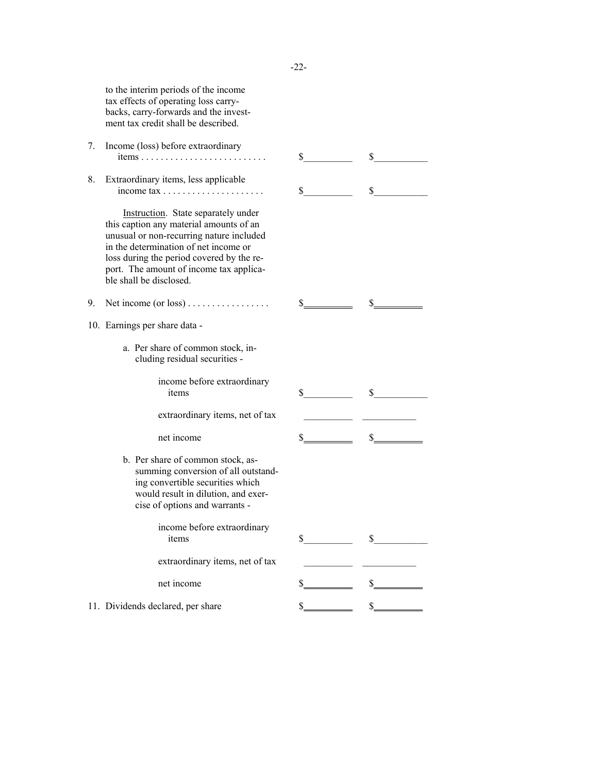|    | to the interim periods of the income<br>tax effects of operating loss carry-<br>backs, carry-forwards and the invest-<br>ment tax credit shall be described.                                                                                                                           |     |         |
|----|----------------------------------------------------------------------------------------------------------------------------------------------------------------------------------------------------------------------------------------------------------------------------------------|-----|---------|
| 7. | Income (loss) before extraordinary                                                                                                                                                                                                                                                     |     |         |
|    | items                                                                                                                                                                                                                                                                                  | \$  | \$      |
| 8. | Extraordinary items, less applicable                                                                                                                                                                                                                                                   | \$  | \$      |
|    | Instruction. State separately under<br>this caption any material amounts of an<br>unusual or non-recurring nature included<br>in the determination of net income or<br>loss during the period covered by the re-<br>port. The amount of income tax applica-<br>ble shall be disclosed. |     |         |
| 9. | Net income (or loss)                                                                                                                                                                                                                                                                   | \$  | \$      |
|    | 10. Earnings per share data -                                                                                                                                                                                                                                                          |     |         |
|    | a. Per share of common stock, in-<br>cluding residual securities -                                                                                                                                                                                                                     |     |         |
|    | income before extraordinary<br>items                                                                                                                                                                                                                                                   | \$  | \$      |
|    | extraordinary items, net of tax                                                                                                                                                                                                                                                        |     |         |
|    | net income                                                                                                                                                                                                                                                                             | \$  | \$      |
|    | b. Per share of common stock, as-<br>summing conversion of all outstand-<br>ing convertible securities which<br>would result in dilution, and exer-<br>cise of options and warrants -                                                                                                  |     |         |
|    | income before extraordinary<br>items                                                                                                                                                                                                                                                   | \$  | \$      |
|    | extraordinary items, net of tax                                                                                                                                                                                                                                                        |     |         |
|    | net income                                                                                                                                                                                                                                                                             | \$. | $S_{-}$ |
|    | 11. Dividends declared, per share                                                                                                                                                                                                                                                      | \$  | \$      |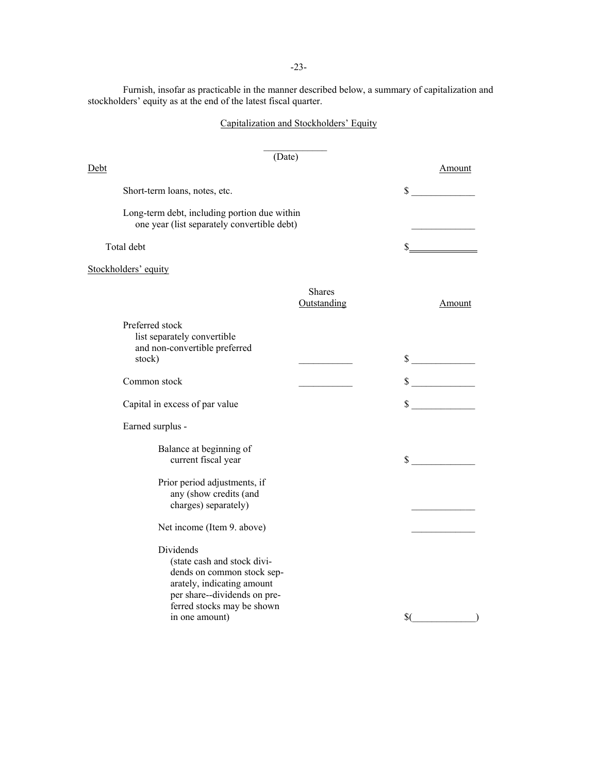-23-

Furnish, insofar as practicable in the manner described below, a summary of capitalization and stockholders' equity as at the end of the latest fiscal quarter.

## Capitalization and Stockholders' Equity

|                                                                                                                                                                                      | (Date)                       |     |                             |
|--------------------------------------------------------------------------------------------------------------------------------------------------------------------------------------|------------------------------|-----|-----------------------------|
| <u>Debt</u>                                                                                                                                                                          |                              |     | Amount                      |
| Short-term loans, notes, etc.                                                                                                                                                        |                              |     | $\mathbb{S}$                |
| Long-term debt, including portion due within<br>one year (list separately convertible debt)                                                                                          |                              |     |                             |
| Total debt                                                                                                                                                                           |                              | \$. |                             |
| Stockholders' equity                                                                                                                                                                 |                              |     |                             |
|                                                                                                                                                                                      | <b>Shares</b><br>Outstanding |     | Amount                      |
| Preferred stock<br>list separately convertible<br>and non-convertible preferred<br>stock)                                                                                            |                              |     | $\sim$                      |
| Common stock                                                                                                                                                                         |                              |     | $\frac{\text{S}}{\text{S}}$ |
| Capital in excess of par value                                                                                                                                                       |                              |     | $\frac{\text{S}}{\text{S}}$ |
| Earned surplus -                                                                                                                                                                     |                              |     |                             |
| Balance at beginning of<br>current fiscal year                                                                                                                                       |                              |     | $\mathbb{S}$                |
| Prior period adjustments, if<br>any (show credits (and<br>charges) separately)                                                                                                       |                              |     |                             |
| Net income (Item 9. above)                                                                                                                                                           |                              |     |                             |
| Dividends<br>(state cash and stock divi-<br>dends on common stock sep-<br>arately, indicating amount<br>per share--dividends on pre-<br>ferred stocks may be shown<br>in one amount) |                              | \$0 |                             |
|                                                                                                                                                                                      |                              |     |                             |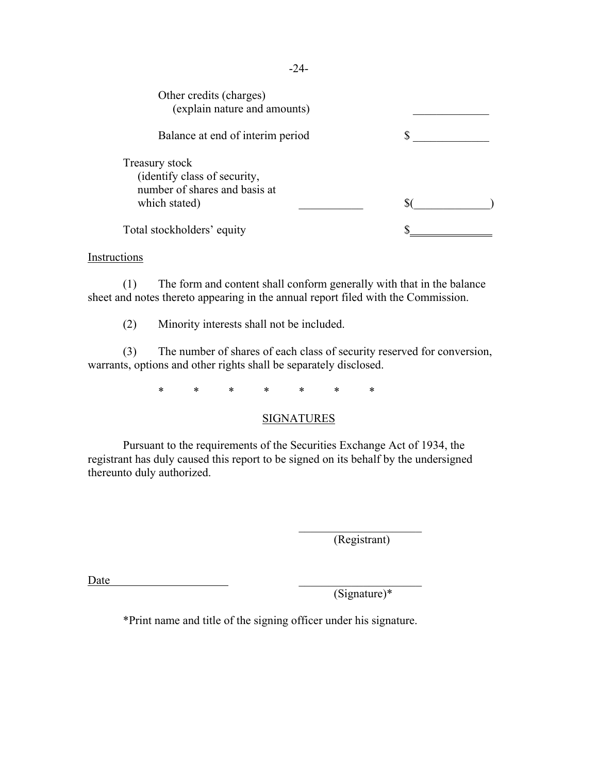| Other credits (charges)<br>(explain nature and amounts)                                          |  |
|--------------------------------------------------------------------------------------------------|--|
| Balance at end of interim period                                                                 |  |
| Treasury stock<br>(identify class of security,<br>number of shares and basis at<br>which stated) |  |
| Total stockholders' equity                                                                       |  |

#### **Instructions**

(1) The form and content shall conform generally with that in the balance sheet and notes thereto appearing in the annual report filed with the Commission.

(2) Minority interests shall not be included.

 (3) The number of shares of each class of security reserved for conversion, warrants, options and other rights shall be separately disclosed.

\* \* \* \* \* \* \*

## **SIGNATURES**

Pursuant to the requirements of the Securities Exchange Act of 1934, the registrant has duly caused this report to be signed on its behalf by the undersigned thereunto duly authorized.

(Registrant)

 $Date$   $\qquad \qquad$ 

(Signature)\*

\*Print name and title of the signing officer under his signature.

 $\mathcal{L}_\text{max}$  and  $\mathcal{L}_\text{max}$  are the set of  $\mathcal{L}_\text{max}$  . The set of  $\mathcal{L}_\text{max}$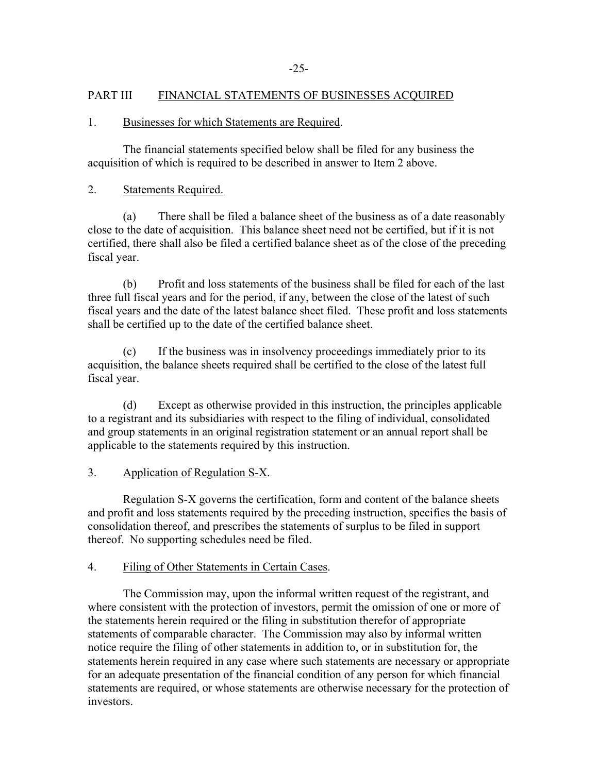## PART III FINANCIAL STATEMENTS OF BUSINESSES ACQUIRED

### 1. Businesses for which Statements are Required.

The financial statements specified below shall be filed for any business the acquisition of which is required to be described in answer to Item 2 above.

### 2. Statements Required.

(a) There shall be filed a balance sheet of the business as of a date reasonably close to the date of acquisition. This balance sheet need not be certified, but if it is not certified, there shall also be filed a certified balance sheet as of the close of the preceding fiscal year.

 (b) Profit and loss statements of the business shall be filed for each of the last three full fiscal years and for the period, if any, between the close of the latest of such fiscal years and the date of the latest balance sheet filed. These profit and loss statements shall be certified up to the date of the certified balance sheet.

 (c) If the business was in insolvency proceedings immediately prior to its acquisition, the balance sheets required shall be certified to the close of the latest full fiscal year.

(d) Except as otherwise provided in this instruction, the principles applicable to a registrant and its subsidiaries with respect to the filing of individual, consolidated and group statements in an original registration statement or an annual report shall be applicable to the statements required by this instruction.

## 3. Application of Regulation S-X.

Regulation S-X governs the certification, form and content of the balance sheets and profit and loss statements required by the preceding instruction, specifies the basis of consolidation thereof, and prescribes the statements of surplus to be filed in support thereof. No supporting schedules need be filed.

## 4. Filing of Other Statements in Certain Cases.

 The Commission may, upon the informal written request of the registrant, and where consistent with the protection of investors, permit the omission of one or more of the statements herein required or the filing in substitution therefor of appropriate statements of comparable character. The Commission may also by informal written notice require the filing of other statements in addition to, or in substitution for, the statements herein required in any case where such statements are necessary or appropriate for an adequate presentation of the financial condition of any person for which financial statements are required, or whose statements are otherwise necessary for the protection of investors.